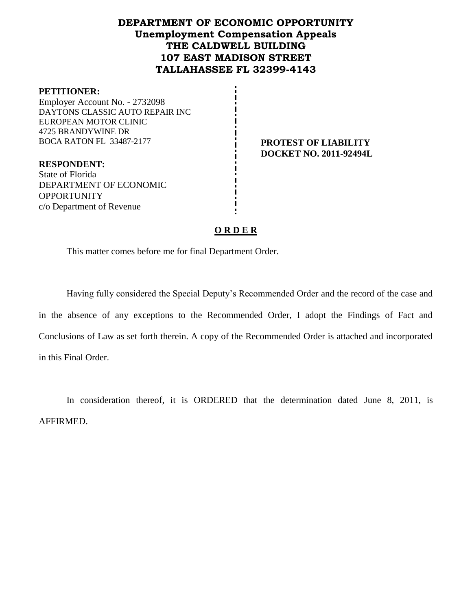# **DEPARTMENT OF ECONOMIC OPPORTUNITY Unemployment Compensation Appeals THE CALDWELL BUILDING 107 EAST MADISON STREET TALLAHASSEE FL 32399-4143**

#### **PETITIONER:**

Employer Account No. - 2732098 DAYTONS CLASSIC AUTO REPAIR INC EUROPEAN MOTOR CLINIC 4725 BRANDYWINE DR BOCA RATON FL 33487-2177 **PROTEST OF LIABILITY**

**RESPONDENT:** State of Florida DEPARTMENT OF ECONOMIC **OPPORTUNITY** c/o Department of Revenue

**DOCKET NO. 2011-92494L**

## **O R D E R**

This matter comes before me for final Department Order.

Having fully considered the Special Deputy's Recommended Order and the record of the case and in the absence of any exceptions to the Recommended Order, I adopt the Findings of Fact and Conclusions of Law as set forth therein. A copy of the Recommended Order is attached and incorporated in this Final Order.

In consideration thereof, it is ORDERED that the determination dated June 8, 2011, is AFFIRMED.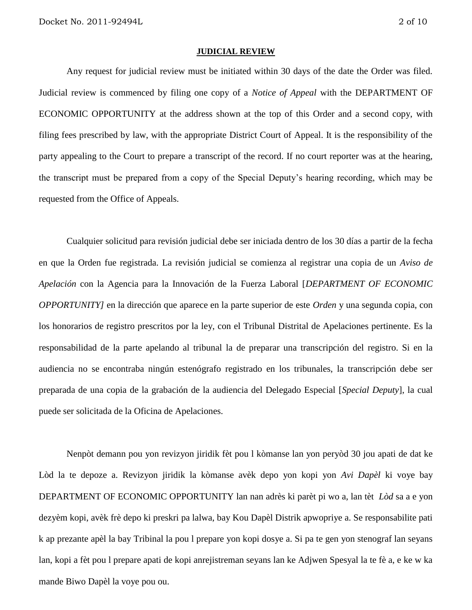#### **JUDICIAL REVIEW**

Any request for judicial review must be initiated within 30 days of the date the Order was filed. Judicial review is commenced by filing one copy of a *Notice of Appeal* with the DEPARTMENT OF ECONOMIC OPPORTUNITY at the address shown at the top of this Order and a second copy, with filing fees prescribed by law, with the appropriate District Court of Appeal. It is the responsibility of the party appealing to the Court to prepare a transcript of the record. If no court reporter was at the hearing, the transcript must be prepared from a copy of the Special Deputy's hearing recording, which may be requested from the Office of Appeals.

Cualquier solicitud para revisión judicial debe ser iniciada dentro de los 30 días a partir de la fecha en que la Orden fue registrada. La revisión judicial se comienza al registrar una copia de un *Aviso de Apelación* con la Agencia para la Innovación de la Fuerza Laboral [*DEPARTMENT OF ECONOMIC OPPORTUNITY]* en la dirección que aparece en la parte superior de este *Orden* y una segunda copia, con los honorarios de registro prescritos por la ley, con el Tribunal Distrital de Apelaciones pertinente. Es la responsabilidad de la parte apelando al tribunal la de preparar una transcripción del registro. Si en la audiencia no se encontraba ningún estenógrafo registrado en los tribunales, la transcripción debe ser preparada de una copia de la grabación de la audiencia del Delegado Especial [*Special Deputy*], la cual puede ser solicitada de la Oficina de Apelaciones.

Nenpòt demann pou yon revizyon jiridik fèt pou l kòmanse lan yon peryòd 30 jou apati de dat ke Lòd la te depoze a. Revizyon jiridik la kòmanse avèk depo yon kopi yon *Avi Dapèl* ki voye bay DEPARTMENT OF ECONOMIC OPPORTUNITY lan nan adrès ki parèt pi wo a, lan tèt *Lòd* sa a e yon dezyèm kopi, avèk frè depo ki preskri pa lalwa, bay Kou Dapèl Distrik apwopriye a. Se responsabilite pati k ap prezante apèl la bay Tribinal la pou l prepare yon kopi dosye a. Si pa te gen yon stenograf lan seyans lan, kopi a fèt pou l prepare apati de kopi anrejistreman seyans lan ke Adjwen Spesyal la te fè a, e ke w ka mande Biwo Dapèl la voye pou ou.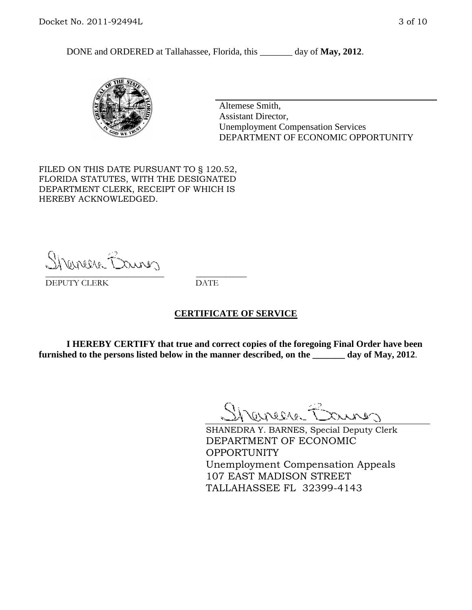DONE and ORDERED at Tallahassee, Florida, this day of May, 2012.



Altemese Smith, Assistant Director, Unemployment Compensation Services DEPARTMENT OF ECONOMIC OPPORTUNITY

FILED ON THIS DATE PURSUANT TO § 120.52, FLORIDA STATUTES, WITH THE DESIGNATED DEPARTMENT CLERK, RECEIPT OF WHICH IS HEREBY ACKNOWLEDGED.

Sherman Barnes \_\_\_\_\_\_\_\_\_\_\_\_\_\_\_\_\_\_\_\_\_\_\_\_\_\_\_\_ \_\_\_\_\_\_\_\_\_\_\_\_

DEPUTY CLERK DATE

#### **CERTIFICATE OF SERVICE**

**I HEREBY CERTIFY that true and correct copies of the foregoing Final Order have been furnished to the persons listed below in the manner described, on the \_\_\_\_\_\_\_ day of May, 2012**.

Shaner Barnes

SHANEDRA Y. BARNES, Special Deputy Clerk DEPARTMENT OF ECONOMIC OPPORTUNITY Unemployment Compensation Appeals 107 EAST MADISON STREET TALLAHASSEE FL 32399-4143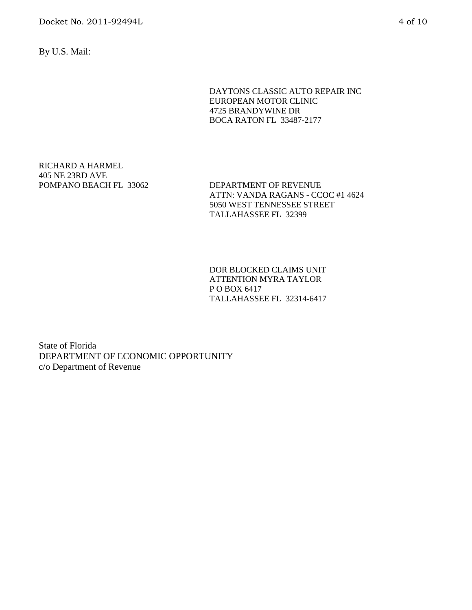Docket No. 2011-92494L 4 of 10

By U.S. Mail:

DAYTONS CLASSIC AUTO REPAIR INC EUROPEAN MOTOR CLINIC 4725 BRANDYWINE DR BOCA RATON FL 33487-2177

RICHARD A HARMEL 405 NE 23RD AVE POMPANO BEACH FL 33062 DEPARTMENT OF REVENUE

ATTN: VANDA RAGANS - CCOC #1 4624 5050 WEST TENNESSEE STREET TALLAHASSEE FL 32399

DOR BLOCKED CLAIMS UNIT ATTENTION MYRA TAYLOR P O BOX 6417 TALLAHASSEE FL 32314-6417

State of Florida DEPARTMENT OF ECONOMIC OPPORTUNITY c/o Department of Revenue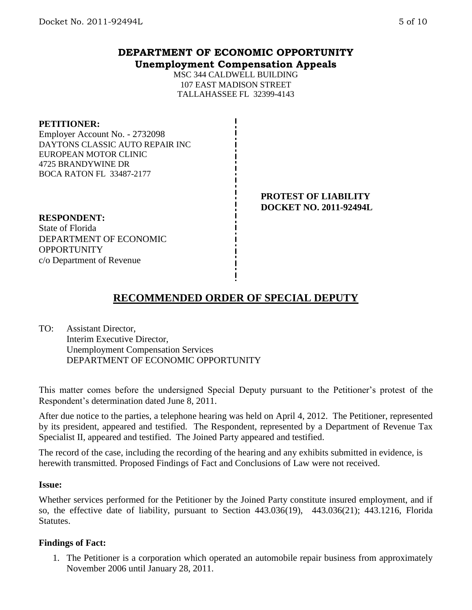# **DEPARTMENT OF ECONOMIC OPPORTUNITY Unemployment Compensation Appeals**

MSC 344 CALDWELL BUILDING 107 EAST MADISON STREET TALLAHASSEE FL 32399-4143

### **PETITIONER:**

Employer Account No. - 2732098 DAYTONS CLASSIC AUTO REPAIR INC EUROPEAN MOTOR CLINIC 4725 BRANDYWINE DR BOCA RATON FL 33487-2177

> **PROTEST OF LIABILITY DOCKET NO. 2011-92494L**

## **RESPONDENT:**

State of Florida DEPARTMENT OF ECONOMIC **OPPORTUNITY** c/o Department of Revenue

# **RECOMMENDED ORDER OF SPECIAL DEPUTY**

TO: Assistant Director, Interim Executive Director, Unemployment Compensation Services DEPARTMENT OF ECONOMIC OPPORTUNITY

This matter comes before the undersigned Special Deputy pursuant to the Petitioner's protest of the Respondent's determination dated June 8, 2011.

After due notice to the parties, a telephone hearing was held on April 4, 2012. The Petitioner, represented by its president, appeared and testified. The Respondent, represented by a Department of Revenue Tax Specialist II, appeared and testified. The Joined Party appeared and testified.

The record of the case, including the recording of the hearing and any exhibits submitted in evidence, is herewith transmitted. Proposed Findings of Fact and Conclusions of Law were not received.

#### **Issue:**

Whether services performed for the Petitioner by the Joined Party constitute insured employment, and if so, the effective date of liability, pursuant to Section 443.036(19), 443.036(21); 443.1216, Florida Statutes.

#### **Findings of Fact:**

1. The Petitioner is a corporation which operated an automobile repair business from approximately November 2006 until January 28, 2011.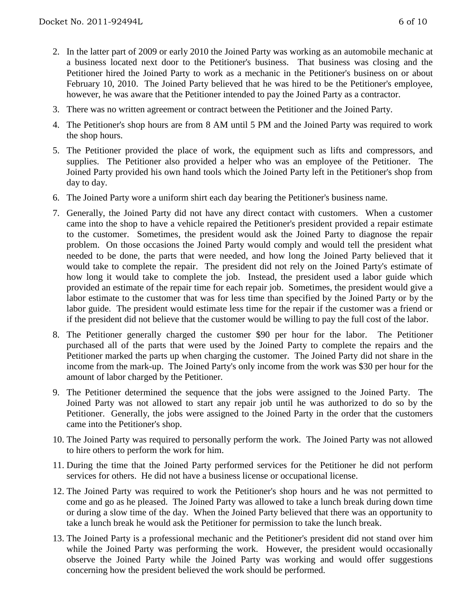- 2. In the latter part of 2009 or early 2010 the Joined Party was working as an automobile mechanic at a business located next door to the Petitioner's business. That business was closing and the Petitioner hired the Joined Party to work as a mechanic in the Petitioner's business on or about February 10, 2010. The Joined Party believed that he was hired to be the Petitioner's employee, however, he was aware that the Petitioner intended to pay the Joined Party as a contractor.
- 3. There was no written agreement or contract between the Petitioner and the Joined Party.
- 4. The Petitioner's shop hours are from 8 AM until 5 PM and the Joined Party was required to work the shop hours.
- 5. The Petitioner provided the place of work, the equipment such as lifts and compressors, and supplies. The Petitioner also provided a helper who was an employee of the Petitioner. The Joined Party provided his own hand tools which the Joined Party left in the Petitioner's shop from day to day.
- 6. The Joined Party wore a uniform shirt each day bearing the Petitioner's business name.
- 7. Generally, the Joined Party did not have any direct contact with customers. When a customer came into the shop to have a vehicle repaired the Petitioner's president provided a repair estimate to the customer. Sometimes, the president would ask the Joined Party to diagnose the repair problem. On those occasions the Joined Party would comply and would tell the president what needed to be done, the parts that were needed, and how long the Joined Party believed that it would take to complete the repair. The president did not rely on the Joined Party's estimate of how long it would take to complete the job. Instead, the president used a labor guide which provided an estimate of the repair time for each repair job. Sometimes, the president would give a labor estimate to the customer that was for less time than specified by the Joined Party or by the labor guide. The president would estimate less time for the repair if the customer was a friend or if the president did not believe that the customer would be willing to pay the full cost of the labor.
- 8. The Petitioner generally charged the customer \$90 per hour for the labor. The Petitioner purchased all of the parts that were used by the Joined Party to complete the repairs and the Petitioner marked the parts up when charging the customer. The Joined Party did not share in the income from the mark-up. The Joined Party's only income from the work was \$30 per hour for the amount of labor charged by the Petitioner.
- 9. The Petitioner determined the sequence that the jobs were assigned to the Joined Party. The Joined Party was not allowed to start any repair job until he was authorized to do so by the Petitioner. Generally, the jobs were assigned to the Joined Party in the order that the customers came into the Petitioner's shop.
- 10. The Joined Party was required to personally perform the work. The Joined Party was not allowed to hire others to perform the work for him.
- 11. During the time that the Joined Party performed services for the Petitioner he did not perform services for others. He did not have a business license or occupational license.
- 12. The Joined Party was required to work the Petitioner's shop hours and he was not permitted to come and go as he pleased. The Joined Party was allowed to take a lunch break during down time or during a slow time of the day. When the Joined Party believed that there was an opportunity to take a lunch break he would ask the Petitioner for permission to take the lunch break.
- 13. The Joined Party is a professional mechanic and the Petitioner's president did not stand over him while the Joined Party was performing the work. However, the president would occasionally observe the Joined Party while the Joined Party was working and would offer suggestions concerning how the president believed the work should be performed.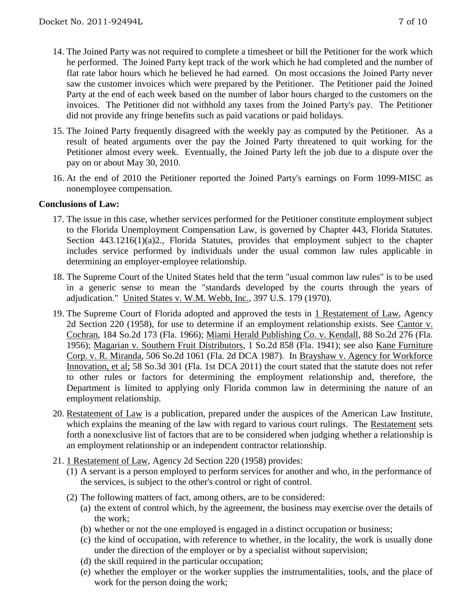- 14. The Joined Party was not required to complete a timesheet or bill the Petitioner for the work which he performed. The Joined Party kept track of the work which he had completed and the number of flat rate labor hours which he believed he had earned. On most occasions the Joined Party never saw the customer invoices which were prepared by the Petitioner. The Petitioner paid the Joined Party at the end of each week based on the number of labor hours charged to the customers on the invoices. The Petitioner did not withhold any taxes from the Joined Party's pay. The Petitioner did not provide any fringe benefits such as paid vacations or paid holidays.
- 15. The Joined Party frequently disagreed with the weekly pay as computed by the Petitioner. As a result of heated arguments over the pay the Joined Party threatened to quit working for the Petitioner almost every week. Eventually, the Joined Party left the job due to a dispute over the pay on or about May 30, 2010.
- 16. At the end of 2010 the Petitioner reported the Joined Party's earnings on Form 1099-MISC as nonemployee compensation.

#### **Conclusions of Law:**

- 17. The issue in this case, whether services performed for the Petitioner constitute employment subject to the Florida Unemployment Compensation Law, is governed by Chapter 443, Florida Statutes. Section 443.1216(1)(a)2., Florida Statutes, provides that employment subject to the chapter includes service performed by individuals under the usual common law rules applicable in determining an employer-employee relationship.
- 18. The Supreme Court of the United States held that the term "usual common law rules" is to be used in a generic sense to mean the "standards developed by the courts through the years of adjudication." United States v. W.M. Webb, Inc., 397 U.S. 179 (1970).
- 19. The Supreme Court of Florida adopted and approved the tests in 1 Restatement of Law, Agency 2d Section 220 (1958), for use to determine if an employment relationship exists. See Cantor v. Cochran, 184 So.2d 173 (Fla. 1966); Miami Herald Publishing Co. v. Kendall, 88 So.2d 276 (Fla. 1956); Magarian v. Southern Fruit Distributors, 1 So.2d 858 (Fla. 1941); see also Kane Furniture Corp. v. R. Miranda, 506 So.2d 1061 (Fla. 2d DCA 1987). In Brayshaw v. Agency for Workforce Innovation, et al; 58 So.3d 301 (Fla. 1st DCA 2011) the court stated that the statute does not refer to other rules or factors for determining the employment relationship and, therefore, the Department is limited to applying only Florida common law in determining the nature of an employment relationship.
- 20. Restatement of Law is a publication, prepared under the auspices of the American Law Institute, which explains the meaning of the law with regard to various court rulings. The Restatement sets forth a nonexclusive list of factors that are to be considered when judging whether a relationship is an employment relationship or an independent contractor relationship.
- 21. 1 Restatement of Law, Agency 2d Section 220 (1958) provides:
	- (1) A servant is a person employed to perform services for another and who, in the performance of the services, is subject to the other's control or right of control.
	- (2) The following matters of fact, among others, are to be considered:
		- (a) the extent of control which, by the agreement, the business may exercise over the details of the work;
		- (b) whether or not the one employed is engaged in a distinct occupation or business;
		- (c) the kind of occupation, with reference to whether, in the locality, the work is usually done under the direction of the employer or by a specialist without supervision;
		- (d) the skill required in the particular occupation;
		- (e) whether the employer or the worker supplies the instrumentalities, tools, and the place of work for the person doing the work;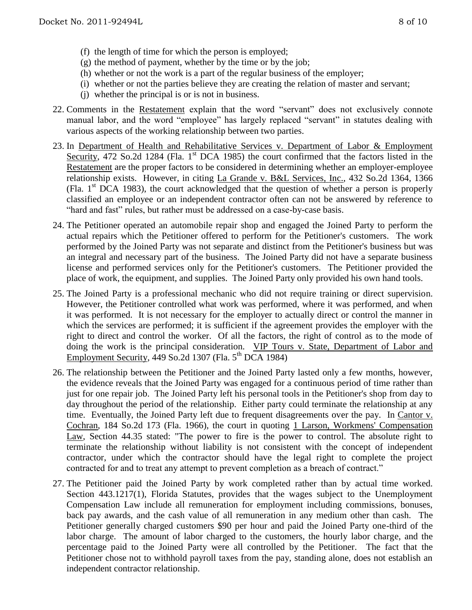- (f) the length of time for which the person is employed;
- $(g)$  the method of payment, whether by the time or by the job;
- (h) whether or not the work is a part of the regular business of the employer;
- (i) whether or not the parties believe they are creating the relation of master and servant;
- (j) whether the principal is or is not in business.
- 22. Comments in the Restatement explain that the word "servant" does not exclusively connote manual labor, and the word "employee" has largely replaced "servant" in statutes dealing with various aspects of the working relationship between two parties.
- 23. In Department of Health and Rehabilitative Services v. Department of Labor & Employment Security, 472 So.2d 1284 (Fla. 1<sup>st</sup> DCA 1985) the court confirmed that the factors listed in the Restatement are the proper factors to be considered in determining whether an employer-employee relationship exists. However, in citing La Grande v. B&L Services, Inc., 432 So.2d 1364, 1366 (Fla.  $1<sup>st</sup> DCA$  1983), the court acknowledged that the question of whether a person is properly classified an employee or an independent contractor often can not be answered by reference to "hard and fast" rules, but rather must be addressed on a case-by-case basis.
- 24. The Petitioner operated an automobile repair shop and engaged the Joined Party to perform the actual repairs which the Petitioner offered to perform for the Petitioner's customers. The work performed by the Joined Party was not separate and distinct from the Petitioner's business but was an integral and necessary part of the business. The Joined Party did not have a separate business license and performed services only for the Petitioner's customers. The Petitioner provided the place of work, the equipment, and supplies. The Joined Party only provided his own hand tools.
- 25. The Joined Party is a professional mechanic who did not require training or direct supervision. However, the Petitioner controlled what work was performed, where it was performed, and when it was performed. It is not necessary for the employer to actually direct or control the manner in which the services are performed; it is sufficient if the agreement provides the employer with the right to direct and control the worker. Of all the factors, the right of control as to the mode of doing the work is the principal consideration. VIP Tours v. State, Department of Labor and Employment Security,  $\frac{449 \text{ So}.2d}{1307}$  (Fla.  $5^{\text{th}}$  DCA 1984)
- 26. The relationship between the Petitioner and the Joined Party lasted only a few months, however, the evidence reveals that the Joined Party was engaged for a continuous period of time rather than just for one repair job. The Joined Party left his personal tools in the Petitioner's shop from day to day throughout the period of the relationship. Either party could terminate the relationship at any time. Eventually, the Joined Party left due to frequent disagreements over the pay. In Cantor v. Cochran, 184 So.2d 173 (Fla. 1966), the court in quoting 1 Larson, Workmens' Compensation Law, Section 44.35 stated: "The power to fire is the power to control. The absolute right to terminate the relationship without liability is not consistent with the concept of independent contractor, under which the contractor should have the legal right to complete the project contracted for and to treat any attempt to prevent completion as a breach of contract."
- 27. The Petitioner paid the Joined Party by work completed rather than by actual time worked. Section 443.1217(1), Florida Statutes, provides that the wages subject to the Unemployment Compensation Law include all remuneration for employment including commissions, bonuses, back pay awards, and the cash value of all remuneration in any medium other than cash. The Petitioner generally charged customers \$90 per hour and paid the Joined Party one-third of the labor charge. The amount of labor charged to the customers, the hourly labor charge, and the percentage paid to the Joined Party were all controlled by the Petitioner. The fact that the Petitioner chose not to withhold payroll taxes from the pay, standing alone, does not establish an independent contractor relationship.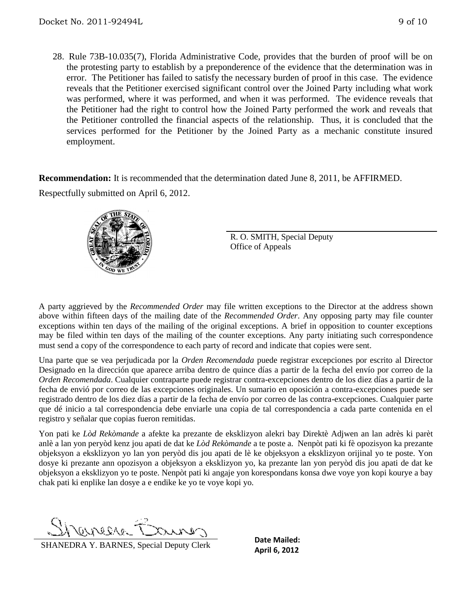28. Rule 73B-10.035(7), Florida Administrative Code, provides that the burden of proof will be on the protesting party to establish by a preponderence of the evidence that the determination was in error. The Petitioner has failed to satisfy the necessary burden of proof in this case. The evidence reveals that the Petitioner exercised significant control over the Joined Party including what work was performed, where it was performed, and when it was performed. The evidence reveals that the Petitioner had the right to control how the Joined Party performed the work and reveals that the Petitioner controlled the financial aspects of the relationship. Thus, it is concluded that the services performed for the Petitioner by the Joined Party as a mechanic constitute insured employment.

**Recommendation:** It is recommended that the determination dated June 8, 2011, be AFFIRMED.

Respectfully submitted on April 6, 2012.



R. O. SMITH, Special Deputy Office of Appeals

A party aggrieved by the *Recommended Order* may file written exceptions to the Director at the address shown above within fifteen days of the mailing date of the *Recommended Order*. Any opposing party may file counter exceptions within ten days of the mailing of the original exceptions. A brief in opposition to counter exceptions may be filed within ten days of the mailing of the counter exceptions. Any party initiating such correspondence must send a copy of the correspondence to each party of record and indicate that copies were sent.

Una parte que se vea perjudicada por la *Orden Recomendada* puede registrar excepciones por escrito al Director Designado en la dirección que aparece arriba dentro de quince días a partir de la fecha del envío por correo de la *Orden Recomendada*. Cualquier contraparte puede registrar contra-excepciones dentro de los diez días a partir de la fecha de envió por correo de las excepciones originales. Un sumario en oposición a contra-excepciones puede ser registrado dentro de los diez días a partir de la fecha de envío por correo de las contra-excepciones. Cualquier parte que dé inicio a tal correspondencia debe enviarle una copia de tal correspondencia a cada parte contenida en el registro y señalar que copias fueron remitidas.

Yon pati ke *Lòd Rekòmande* a afekte ka prezante de eksklizyon alekri bay Direktè Adjwen an lan adrès ki parèt anlè a lan yon peryòd kenz jou apati de dat ke *Lòd Rekòmande* a te poste a. Nenpòt pati ki fè opozisyon ka prezante objeksyon a eksklizyon yo lan yon peryòd dis jou apati de lè ke objeksyon a eksklizyon orijinal yo te poste. Yon dosye ki prezante ann opozisyon a objeksyon a eksklizyon yo, ka prezante lan yon peryòd dis jou apati de dat ke objeksyon a eksklizyon yo te poste. Nenpòt pati ki angaje yon korespondans konsa dwe voye yon kopi kourye a bay chak pati ki enplike lan dosye a e endike ke yo te voye kopi yo.

F weeken

**CHANEDRA Y. BARNES, Special Deputy Clerk Date Mailed:**<br>**April 6, 2012** 

**Date Mailed:**